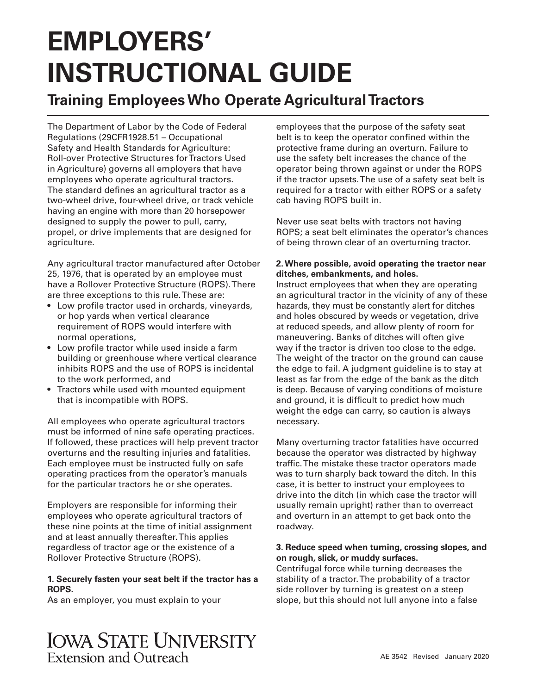# **EMPLOYERS' INSTRUCTIONAL GUIDE**

## **Training Employees Who Operate Agricultural Tractors**

The Department of Labor by the Code of Federal Regulations (29CFR1928.51 – Occupational Safety and Health Standards for Agriculture: Roll-over Protective Structures for Tractors Used in Agriculture) governs all employers that have employees who operate agricultural tractors. The standard defines an agricultural tractor as a two-wheel drive, four-wheel drive, or track vehicle having an engine with more than 20 horsepower designed to supply the power to pull, carry, propel, or drive implements that are designed for agriculture.

Any agricultural tractor manufactured after October 25, 1976, that is operated by an employee must have a Rollover Protective Structure (ROPS). There are three exceptions to this rule. These are:

- Low profile tractor used in orchards, vineyards, or hop yards when vertical clearance requirement of ROPS would interfere with normal operations,
- Low profile tractor while used inside a farm building or greenhouse where vertical clearance inhibits ROPS and the use of ROPS is incidental to the work performed, and
- Tractors while used with mounted equipment that is incompatible with ROPS.

All employees who operate agricultural tractors must be informed of nine safe operating practices. If followed, these practices will help prevent tractor overturns and the resulting injuries and fatalities. Each employee must be instructed fully on safe operating practices from the operator's manuals for the particular tractors he or she operates.

Employers are responsible for informing their employees who operate agricultural tractors of these nine points at the time of initial assignment and at least annually thereafter. This applies regardless of tractor age or the existence of a Rollover Protective Structure (ROPS).

#### **1. Securely fasten your seat belt if the tractor has a ROPS.**

As an employer, you must explain to your

employees that the purpose of the safety seat belt is to keep the operator confined within the protective frame during an overturn. Failure to use the safety belt increases the chance of the operator being thrown against or under the ROPS if the tractor upsets. The use of a safety seat belt is required for a tractor with either ROPS or a safety cab having ROPS built in.

Never use seat belts with tractors not having ROPS; a seat belt eliminates the operator's chances of being thrown clear of an overturning tractor.

#### **2. Where possible, avoid operating the tractor near ditches, embankments, and holes.**

Instruct employees that when they are operating an agricultural tractor in the vicinity of any of these hazards, they must be constantly alert for ditches and holes obscured by weeds or vegetation, drive at reduced speeds, and allow plenty of room for maneuvering. Banks of ditches will often give way if the tractor is driven too close to the edge. The weight of the tractor on the ground can cause the edge to fail. A judgment guideline is to stay at least as far from the edge of the bank as the ditch is deep. Because of varying conditions of moisture and ground, it is difficult to predict how much weight the edge can carry, so caution is always necessary.

Many overturning tractor fatalities have occurred because the operator was distracted by highway traffic. The mistake these tractor operators made was to turn sharply back toward the ditch. In this case, it is better to instruct your employees to drive into the ditch (in which case the tractor will usually remain upright) rather than to overreact and overturn in an attempt to get back onto the roadway.

#### **3. Reduce speed when turning, crossing slopes, and on rough, slick, or muddy surfaces.**

Centrifugal force while turning decreases the stability of a tractor. The probability of a tractor side rollover by turning is greatest on a steep slope, but this should not lull anyone into a false

**IOWA STATE UNIVERSITY** Extension and Outreach